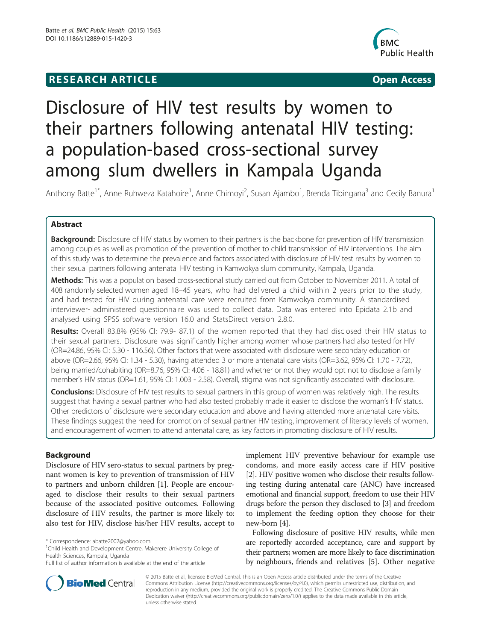## **RESEARCH ARTICLE Example 2014 12:30 The SEAR CHIPS 2014 12:30 The Open Access**



# Disclosure of HIV test results by women to their partners following antenatal HIV testing: a population-based cross-sectional survey among slum dwellers in Kampala Uganda

Anthony Batte<sup>1\*</sup>, Anne Ruhweza Katahoire<sup>1</sup>, Anne Chimoyi<sup>2</sup>, Susan Ajambo<sup>1</sup>, Brenda Tibingana<sup>3</sup> and Cecily Banura<sup>1</sup>

### Abstract

**Background:** Disclosure of HIV status by women to their partners is the backbone for prevention of HIV transmission among couples as well as promotion of the prevention of mother to child transmission of HIV interventions. The aim of this study was to determine the prevalence and factors associated with disclosure of HIV test results by women to their sexual partners following antenatal HIV testing in Kamwokya slum community, Kampala, Uganda.

Methods: This was a population based cross-sectional study carried out from October to November 2011. A total of 408 randomly selected women aged 18–45 years, who had delivered a child within 2 years prior to the study, and had tested for HIV during antenatal care were recruited from Kamwokya community. A standardised interviewer- administered questionnaire was used to collect data. Data was entered into Epidata 2.1b and analysed using SPSS software version 16.0 and StatsDirect version 2.8.0.

Results: Overall 83.8% (95% CI: 79.9- 87.1) of the women reported that they had disclosed their HIV status to their sexual partners. Disclosure was significantly higher among women whose partners had also tested for HIV (OR=24.86, 95% CI: 5.30 - 116.56). Other factors that were associated with disclosure were secondary education or above (OR=2.66, 95% CI: 1.34 - 5.30), having attended 3 or more antenatal care visits (OR=3.62, 95% CI: 1.70 - 7.72), being married/cohabiting (OR=8.76, 95% CI: 4.06 - 18.81) and whether or not they would opt not to disclose a family member's HIV status (OR=1.61, 95% CI: 1.003 - 2.58). Overall, stigma was not significantly associated with disclosure.

**Conclusions:** Disclosure of HIV test results to sexual partners in this group of women was relatively high. The results suggest that having a sexual partner who had also tested probably made it easier to disclose the woman's HIV status. Other predictors of disclosure were secondary education and above and having attended more antenatal care visits. These findings suggest the need for promotion of sexual partner HIV testing, improvement of literacy levels of women, and encouragement of women to attend antenatal care, as key factors in promoting disclosure of HIV results.

#### Background

Disclosure of HIV sero-status to sexual partners by pregnant women is key to prevention of transmission of HIV to partners and unborn children [\[1](#page-6-0)]. People are encouraged to disclose their results to their sexual partners because of the associated positive outcomes. Following disclosure of HIV results, the partner is more likely to: also test for HIV, disclose his/her HIV results, accept to

<sup>1</sup>Child Health and Development Centre, Makerere University College of Health Sciences, Kampala, Uganda

implement HIV preventive behaviour for example use condoms, and more easily access care if HIV positive [[2\]](#page-6-0). HIV positive women who disclose their results following testing during antenatal care (ANC) have increased emotional and financial support, freedom to use their HIV drugs before the person they disclosed to [[3](#page-6-0)] and freedom to implement the feeding option they choose for their new-born [\[4](#page-6-0)].

Following disclosure of positive HIV results, while men are reportedly accorded acceptance, care and support by their partners; women are more likely to face discrimination by neighbours, friends and relatives [\[5](#page-6-0)]. Other negative



© 2015 Batte et al.; licensee BioMed Central. This is an Open Access article distributed under the terms of the Creative Commons Attribution License [\(http://creativecommons.org/licenses/by/4.0\)](http://creativecommons.org/licenses/by/4.0), which permits unrestricted use, distribution, and reproduction in any medium, provided the original work is properly credited. The Creative Commons Public Domain Dedication waiver [\(http://creativecommons.org/publicdomain/zero/1.0/](http://creativecommons.org/publicdomain/zero/1.0/)) applies to the data made available in this article, unless otherwise stated.

<sup>\*</sup> Correspondence: [abatte2002@yahoo.com](mailto:abatte2002@yahoo.com) <sup>1</sup>

Full list of author information is available at the end of the article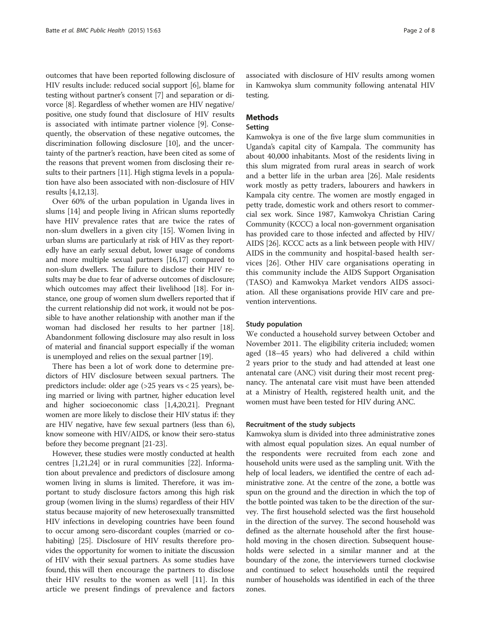outcomes that have been reported following disclosure of HIV results include: reduced social support [[6](#page-6-0)], blame for testing without partner's consent [[7\]](#page-6-0) and separation or divorce [\[8\]](#page-6-0). Regardless of whether women are HIV negative/ positive, one study found that disclosure of HIV results is associated with intimate partner violence [\[9\]](#page-6-0). Consequently, the observation of these negative outcomes, the discrimination following disclosure [\[10\]](#page-6-0), and the uncertainty of the partner's reaction, have been cited as some of the reasons that prevent women from disclosing their results to their partners [[11](#page-6-0)]. High stigma levels in a population have also been associated with non-disclosure of HIV results [[4,12,13\]](#page-6-0).

Over 60% of the urban population in Uganda lives in slums [[14\]](#page-6-0) and people living in African slums reportedly have HIV prevalence rates that are twice the rates of non-slum dwellers in a given city [[15\]](#page-6-0). Women living in urban slums are particularly at risk of HIV as they reportedly have an early sexual debut, lower usage of condoms and more multiple sexual partners [\[16,17](#page-6-0)] compared to non-slum dwellers. The failure to disclose their HIV results may be due to fear of adverse outcomes of disclosure; which outcomes may affect their livelihood [[18](#page-6-0)]. For instance, one group of women slum dwellers reported that if the current relationship did not work, it would not be possible to have another relationship with another man if the woman had disclosed her results to her partner [[18](#page-6-0)]. Abandonment following disclosure may also result in loss of material and financial support especially if the woman is unemployed and relies on the sexual partner [\[19\]](#page-6-0).

There has been a lot of work done to determine predictors of HIV disclosure between sexual partners. The predictors include: older age (>25 years vs < 25 years), being married or living with partner, higher education level and higher socioeconomic class [\[1,4,20,21](#page-6-0)]. Pregnant women are more likely to disclose their HIV status if: they are HIV negative, have few sexual partners (less than 6), know someone with HIV/AIDS, or know their sero-status before they become pregnant [\[21-23\]](#page-6-0).

However, these studies were mostly conducted at health centres [[1,21,24\]](#page-6-0) or in rural communities [[22](#page-6-0)]. Information about prevalence and predictors of disclosure among women living in slums is limited. Therefore, it was important to study disclosure factors among this high risk group (women living in the slums) regardless of their HIV status because majority of new heterosexually transmitted HIV infections in developing countries have been found to occur among sero-discordant couples (married or cohabiting) [\[25\]](#page-7-0). Disclosure of HIV results therefore provides the opportunity for women to initiate the discussion of HIV with their sexual partners. As some studies have found, this will then encourage the partners to disclose their HIV results to the women as well [\[11](#page-6-0)]. In this article we present findings of prevalence and factors

associated with disclosure of HIV results among women in Kamwokya slum community following antenatal HIV testing.

#### **Methods**

#### Setting

Kamwokya is one of the five large slum communities in Uganda's capital city of Kampala. The community has about 40,000 inhabitants. Most of the residents living in this slum migrated from rural areas in search of work and a better life in the urban area [\[26](#page-7-0)]. Male residents work mostly as petty traders, labourers and hawkers in Kampala city centre. The women are mostly engaged in petty trade, domestic work and others resort to commercial sex work. Since 1987, Kamwokya Christian Caring Community (KCCC) a local non-government organisation has provided care to those infected and affected by HIV/ AIDS [[26](#page-7-0)]. KCCC acts as a link between people with HIV/ AIDS in the community and hospital-based health services [[26\]](#page-7-0). Other HIV care organisations operating in this community include the AIDS Support Organisation (TASO) and Kamwokya Market vendors AIDS association. All these organisations provide HIV care and prevention interventions.

#### Study population

We conducted a household survey between October and November 2011. The eligibility criteria included; women aged (18–45 years) who had delivered a child within 2 years prior to the study and had attended at least one antenatal care (ANC) visit during their most recent pregnancy. The antenatal care visit must have been attended at a Ministry of Health, registered health unit, and the women must have been tested for HIV during ANC.

#### Recruitment of the study subjects

Kamwokya slum is divided into three administrative zones with almost equal population sizes. An equal number of the respondents were recruited from each zone and household units were used as the sampling unit. With the help of local leaders, we identified the centre of each administrative zone. At the centre of the zone, a bottle was spun on the ground and the direction in which the top of the bottle pointed was taken to be the direction of the survey. The first household selected was the first household in the direction of the survey. The second household was defined as the alternate household after the first household moving in the chosen direction. Subsequent households were selected in a similar manner and at the boundary of the zone, the interviewers turned clockwise and continued to select households until the required number of households was identified in each of the three zones.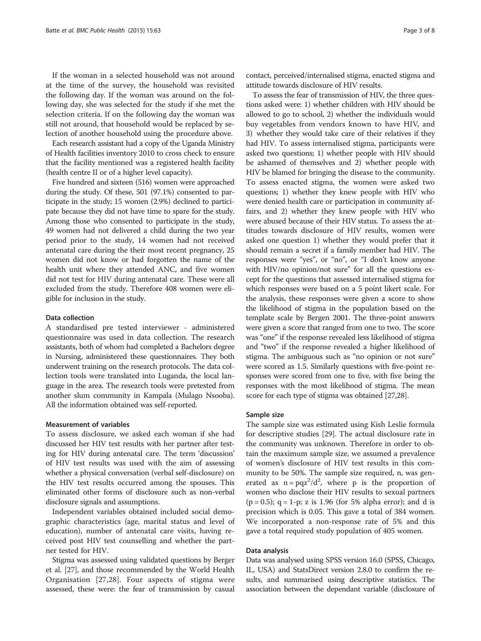If the woman in a selected household was not around at the time of the survey, the household was revisited the following day. If the woman was around on the following day, she was selected for the study if she met the selection criteria. If on the following day the woman was still not around, that household would be replaced by selection of another household using the procedure above.

Each research assistant had a copy of the Uganda Ministry of Health facilities inventory 2010 to cross check to ensure that the facility mentioned was a registered health facility (health centre II or of a higher level capacity).

Five hundred and sixteen (516) women were approached during the study. Of these, 501 (97.1%) consented to participate in the study; 15 women (2.9%) declined to participate because they did not have time to spare for the study. Among those who consented to participate in the study, 49 women had not delivered a child during the two year period prior to the study, 14 women had not received antenatal care during the their most recent pregnancy, 25 women did not know or had forgotten the name of the health unit where they attended ANC, and five women did not test for HIV during antenatal care. These were all excluded from the study. Therefore 408 women were eligible for inclusion in the study.

#### Data collection

A standardised pre tested interviewer - administered questionnaire was used in data collection. The research assistants, both of whom had completed a Bachelors degree in Nursing, administered these questionnaires. They both underwent training on the research protocols. The data collection tools were translated into Luganda, the local language in the area. The research tools were pretested from another slum community in Kampala (Mulago Nsooba). All the information obtained was self-reported.

#### Measurement of variables

To assess disclosure, we asked each woman if she had discussed her HIV test results with her partner after testing for HIV during antenatal care. The term 'discussion' of HIV test results was used with the aim of assessing whether a physical conversation (verbal self-disclosure) on the HIV test results occurred among the spouses. This eliminated other forms of disclosure such as non-verbal disclosure signals and assumptions.

Independent variables obtained included social demographic characteristics (age, marital status and level of education), number of antenatal care visits, having received post HIV test counselling and whether the partner tested for HIV.

Stigma was assessed using validated questions by Berger et al. [[27\]](#page-7-0), and those recommended by the World Health Organisation [[27,28\]](#page-7-0). Four aspects of stigma were assessed, these were: the fear of transmission by casual

contact, perceived/internalised stigma, enacted stigma and attitude towards disclosure of HIV results.

To assess the fear of transmission of HIV, the three questions asked were: 1) whether children with HIV should be allowed to go to school, 2) whether the individuals would buy vegetables from vendors known to have HIV, and 3) whether they would take care of their relatives if they had HIV. To assess internalised stigma, participants were asked two questions; 1) whether people with HIV should be ashamed of themselves and 2) whether people with HIV be blamed for bringing the disease to the community. To assess enacted stigma, the women were asked two questions; 1) whether they knew people with HIV who were denied health care or participation in community affairs, and 2) whether they knew people with HIV who were abused because of their HIV status. To assess the attitudes towards disclosure of HIV results, women were asked one question 1) whether they would prefer that it should remain a secret if a family member had HIV. The responses were "yes", or "no", or "I don't know anyone with HIV/no opinion/not sure" for all the questions except for the questions that assessed internalised stigma for which responses were based on a 5 point likert scale. For the analysis, these responses were given a score to show the likelihood of stigma in the population based on the template scale by Bergen 2001. The three-point answers were given a score that ranged from one to two. The score was "one" if the response revealed less likelihood of stigma and "two" if the response revealed a higher likelihood of stigma. The ambiguous such as "no opinion or not sure" were scored as 1.5. Similarly questions with five-point responses were scored from one to five, with five being the responses with the most likelihood of stigma. The mean score for each type of stigma was obtained [[27](#page-7-0),[28](#page-7-0)].

#### Sample size

The sample size was estimated using Kish Leslie formula for descriptive studies [[29\]](#page-7-0). The actual disclosure rate in the community was unknown. Therefore in order to obtain the maximum sample size, we assumed a prevalence of women's disclosure of HIV test results in this community to be 50%. The sample size required, n, was generated as  $n = pqz^2/d^2$ , where p is the proportion of women who disclose their HIV results to sexual partners  $(p = 0.5)$ ; q = 1-p; z is 1.96 (for 5% alpha error); and d is precision which is 0.05. This gave a total of 384 women. We incorporated a non-response rate of 5% and this gave a total required study population of 405 women.

#### Data analysis

Data was analysed using SPSS version 16.0 (SPSS, Chicago, IL, USA) and StatsDirect version 2.8.0 to confirm the results, and summarised using descriptive statistics. The association between the dependant variable (disclosure of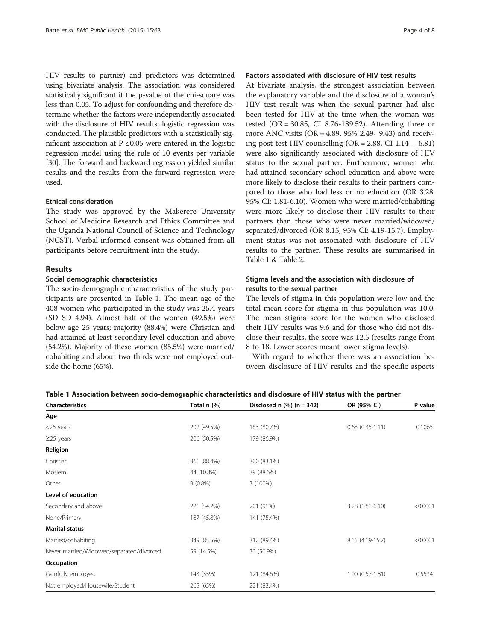HIV results to partner) and predictors was determined using bivariate analysis. The association was considered statistically significant if the p-value of the chi-square was less than 0.05. To adjust for confounding and therefore determine whether the factors were independently associated with the disclosure of HIV results, logistic regression was conducted. The plausible predictors with a statistically significant association at  $P \leq 0.05$  were entered in the logistic regression model using the rule of 10 events per variable [[30](#page-7-0)]. The forward and backward regression yielded similar results and the results from the forward regression were used.

#### Ethical consideration

The study was approved by the Makerere University School of Medicine Research and Ethics Committee and the Uganda National Council of Science and Technology (NCST). Verbal informed consent was obtained from all participants before recruitment into the study.

#### Results

#### Social demographic characteristics

The socio-demographic characteristics of the study participants are presented in Table 1. The mean age of the 408 women who participated in the study was 25.4 years (SD SD 4.94). Almost half of the women (49.5%) were below age 25 years; majority (88.4%) were Christian and had attained at least secondary level education and above (54.2%). Majority of these women (85.5%) were married/ cohabiting and about two thirds were not employed outside the home (65%).

#### Factors associated with disclosure of HIV test results

At bivariate analysis, the strongest association between the explanatory variable and the disclosure of a woman's HIV test result was when the sexual partner had also been tested for HIV at the time when the woman was tested (OR = 30.85, CI 8.76-189.52). Attending three or more ANC visits (OR = 4.89, 95% 2.49- 9.43) and receiving post-test HIV counselling  $(OR = 2.88, CI 1.14 - 6.81)$ were also significantly associated with disclosure of HIV status to the sexual partner. Furthermore, women who had attained secondary school education and above were more likely to disclose their results to their partners compared to those who had less or no education (OR 3.28, 95% CI: 1.81-6.10). Women who were married/cohabiting were more likely to disclose their HIV results to their partners than those who were never married/widowed/ separated/divorced (OR 8.15, 95% CI: 4.19-15.7). Employment status was not associated with disclosure of HIV results to the partner. These results are summarised in Table 1 & Table [2](#page-4-0).

#### Stigma levels and the association with disclosure of results to the sexual partner

The levels of stigma in this population were low and the total mean score for stigma in this population was 10.0. The mean stigma score for the women who disclosed their HIV results was 9.6 and for those who did not disclose their results, the score was 12.5 (results range from 8 to 18. Lower scores meant lower stigma levels).

With regard to whether there was an association between disclosure of HIV results and the specific aspects

|  |  |  |  |  | Table 1 Association between socio-demographic characteristics and disclosure of HIV status with the partner |  |  |  |  |  |  |  |
|--|--|--|--|--|-------------------------------------------------------------------------------------------------------------|--|--|--|--|--|--|--|
|--|--|--|--|--|-------------------------------------------------------------------------------------------------------------|--|--|--|--|--|--|--|

| <b>Characteristics</b>                   | Total n (%) | Disclosed n $(\%)$ (n = 342) | OR (95% CI)          | P value  |  |
|------------------------------------------|-------------|------------------------------|----------------------|----------|--|
| Age                                      |             |                              |                      |          |  |
| <25 years                                | 202 (49.5%) | 163 (80.7%)                  | $0.63$ $(0.35-1.11)$ | 0.1065   |  |
| $\geq$ 25 years                          | 206 (50.5%) | 179 (86.9%)                  |                      |          |  |
| Religion                                 |             |                              |                      |          |  |
| Christian                                | 361 (88.4%) | 300 (83.1%)                  |                      |          |  |
| Moslem                                   | 44 (10.8%)  | 39 (88.6%)                   |                      |          |  |
| Other                                    | $3(0.8\%)$  | 3 (100%)                     |                      |          |  |
| Level of education                       |             |                              |                      |          |  |
| Secondary and above                      | 221 (54.2%) | 201 (91%)                    | $3.28(1.81 - 6.10)$  | < 0.0001 |  |
| None/Primary                             | 187 (45.8%) | 141 (75.4%)                  |                      |          |  |
| <b>Marital status</b>                    |             |                              |                      |          |  |
| Married/cohabiting                       | 349 (85.5%) | 312 (89.4%)                  | 8.15 (4.19-15.7)     | < 0.0001 |  |
| Never married/Widowed/separated/divorced | 59 (14.5%)  | 30 (50.9%)                   |                      |          |  |
| Occupation                               |             |                              |                      |          |  |
| Gainfully employed                       | 143 (35%)   | 121 (84.6%)                  | $1.00(0.57-1.81)$    | 0.5534   |  |
| Not employed/Housewife/Student           | 265 (65%)   | 221 (83.4%)                  |                      |          |  |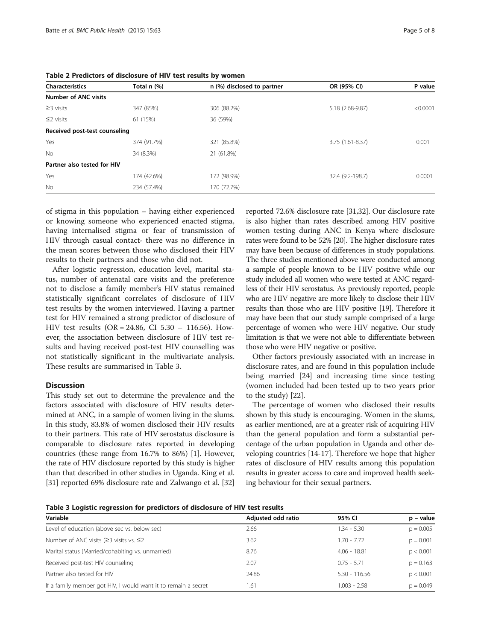| Total n (%)<br><b>Characteristics</b> |             | n (%) disclosed to partner | OR (95% CI)      | P value  |  |
|---------------------------------------|-------------|----------------------------|------------------|----------|--|
| Number of ANC visits                  |             |                            |                  |          |  |
| $\geq$ 3 visits                       | 347 (85%)   | 306 (88.2%)                | 5.18 (2.68-9.87) | < 0.0001 |  |
| $\leq$ visits                         | 61 (15%)    | 36 (59%)                   |                  |          |  |
| Received post-test counseling         |             |                            |                  |          |  |
| Yes                                   | 374 (91.7%) | 321 (85.8%)                | 3.75 (1.61-8.37) | 0.001    |  |
| <b>No</b>                             | 34 (8.3%)   | 21 (61.8%)                 |                  |          |  |
| Partner also tested for HIV           |             |                            |                  |          |  |
| Yes                                   | 174 (42.6%) | 172 (98.9%)                | 32.4 (9.2-198.7) | 0.0001   |  |
| <b>No</b>                             | 234 (57.4%) | 170 (72.7%)                |                  |          |  |

<span id="page-4-0"></span>Table 2 Predictors of disclosure of HIV test results by women

of stigma in this population – having either experienced or knowing someone who experienced enacted stigma, having internalised stigma or fear of transmission of HIV through casual contact- there was no difference in the mean scores between those who disclosed their HIV results to their partners and those who did not.

After logistic regression, education level, marital status, number of antenatal care visits and the preference not to disclose a family member's HIV status remained statistically significant correlates of disclosure of HIV test results by the women interviewed. Having a partner test for HIV remained a strong predictor of disclosure of HIV test results (OR = 24.86, CI 5.30 – 116.56). However, the association between disclosure of HIV test results and having received post-test HIV counselling was not statistically significant in the multivariate analysis. These results are summarised in Table 3.

#### Discussion

This study set out to determine the prevalence and the factors associated with disclosure of HIV results determined at ANC, in a sample of women living in the slums. In this study, 83.8% of women disclosed their HIV results to their partners. This rate of HIV serostatus disclosure is comparable to disclosure rates reported in developing countries (these range from 16.7% to 86%) [\[1](#page-6-0)]. However, the rate of HIV disclosure reported by this study is higher than that described in other studies in Uganda. King et al. [[31](#page-7-0)] reported 69% disclosure rate and Zalwango et al. [[32](#page-7-0)]

reported 72.6% disclosure rate [[31](#page-7-0),[32](#page-7-0)]. Our disclosure rate is also higher than rates described among HIV positive women testing during ANC in Kenya where disclosure rates were found to be 52% [\[20\]](#page-6-0). The higher disclosure rates may have been because of differences in study populations. The three studies mentioned above were conducted among a sample of people known to be HIV positive while our study included all women who were tested at ANC regardless of their HIV serostatus. As previously reported, people who are HIV negative are more likely to disclose their HIV results than those who are HIV positive [[19](#page-6-0)]. Therefore it may have been that our study sample comprised of a large percentage of women who were HIV negative. Our study limitation is that we were not able to differentiate between those who were HIV negative or positive.

Other factors previously associated with an increase in disclosure rates, and are found in this population include being married [[24\]](#page-6-0) and increasing time since testing (women included had been tested up to two years prior to the study) [[22\]](#page-6-0).

The percentage of women who disclosed their results shown by this study is encouraging. Women in the slums, as earlier mentioned, are at a greater risk of acquiring HIV than the general population and form a substantial percentage of the urban population in Uganda and other developing countries [\[14](#page-6-0)-[17](#page-6-0)]. Therefore we hope that higher rates of disclosure of HIV results among this population results in greater access to care and improved health seeking behaviour for their sexual partners.

Table 3 Logistic regression for predictors of disclosure of HIV test results

| Variable                                                       | Adjusted odd ratio | 95% CI          | $p - value$ |
|----------------------------------------------------------------|--------------------|-----------------|-------------|
| Level of education (above sec vs. below sec)                   | 2.66               | $1.34 - 5.30$   | $p = 0.005$ |
| Number of ANC visits ( $\geq$ 3 visits vs. $\leq$ 2            | 3.62               | $1.70 - 7.72$   | $p = 0.001$ |
| Marital status (Married/cohabiting vs. unmarried)              | 8.76               | $4.06 - 18.81$  | p < 0.001   |
| Received post-test HIV counseling                              | 2.07               | $0.75 - 5.71$   | $p = 0.163$ |
| Partner also tested for HIV                                    | 24.86              | $5.30 - 116.56$ | p < 0.001   |
| If a family member got HIV, I would want it to remain a secret | 1.61               | 1.003 - 2.58    | $p = 0.049$ |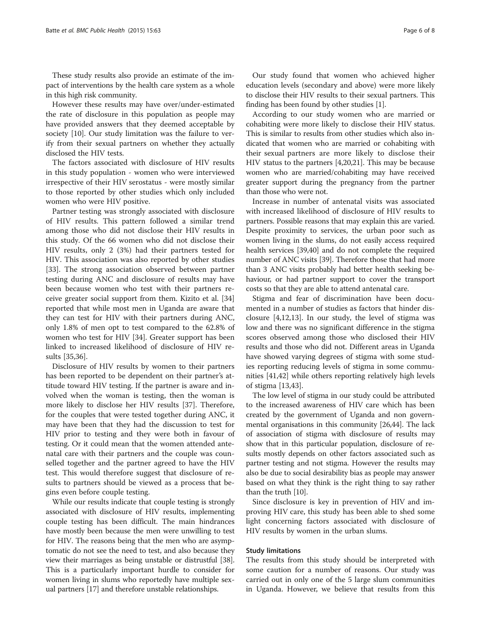These study results also provide an estimate of the impact of interventions by the health care system as a whole in this high risk community.

However these results may have over/under-estimated the rate of disclosure in this population as people may have provided answers that they deemed acceptable by society [\[10\]](#page-6-0). Our study limitation was the failure to verify from their sexual partners on whether they actually disclosed the HIV tests.

The factors associated with disclosure of HIV results in this study population - women who were interviewed irrespective of their HIV serostatus - were mostly similar to those reported by other studies which only included women who were HIV positive.

Partner testing was strongly associated with disclosure of HIV results. This pattern followed a similar trend among those who did not disclose their HIV results in this study. Of the 66 women who did not disclose their HIV results, only 2 (3%) had their partners tested for HIV. This association was also reported by other studies [[33\]](#page-7-0). The strong association observed between partner testing during ANC and disclosure of results may have been because women who test with their partners receive greater social support from them. Kizito et al. [[34](#page-7-0)] reported that while most men in Uganda are aware that they can test for HIV with their partners during ANC, only 1.8% of men opt to test compared to the 62.8% of women who test for HIV [\[34\]](#page-7-0). Greater support has been linked to increased likelihood of disclosure of HIV results [[35,36](#page-7-0)].

Disclosure of HIV results by women to their partners has been reported to be dependent on their partner's attitude toward HIV testing. If the partner is aware and involved when the woman is testing, then the woman is more likely to disclose her HIV results [[37\]](#page-7-0). Therefore, for the couples that were tested together during ANC, it may have been that they had the discussion to test for HIV prior to testing and they were both in favour of testing. Or it could mean that the women attended antenatal care with their partners and the couple was counselled together and the partner agreed to have the HIV test. This would therefore suggest that disclosure of results to partners should be viewed as a process that begins even before couple testing.

While our results indicate that couple testing is strongly associated with disclosure of HIV results, implementing couple testing has been difficult. The main hindrances have mostly been because the men were unwilling to test for HIV. The reasons being that the men who are asymptomatic do not see the need to test, and also because they view their marriages as being unstable or distrustful [[38](#page-7-0)]. This is a particularly important hurdle to consider for women living in slums who reportedly have multiple sexual partners [\[17\]](#page-6-0) and therefore unstable relationships.

Our study found that women who achieved higher education levels (secondary and above) were more likely to disclose their HIV results to their sexual partners. This finding has been found by other studies [\[1](#page-6-0)].

According to our study women who are married or cohabiting were more likely to disclose their HIV status. This is similar to results from other studies which also indicated that women who are married or cohabiting with their sexual partners are more likely to disclose their HIV status to the partners [\[4,20,21](#page-6-0)]. This may be because women who are married/cohabiting may have received greater support during the pregnancy from the partner than those who were not.

Increase in number of antenatal visits was associated with increased likelihood of disclosure of HIV results to partners. Possible reasons that may explain this are varied. Despite proximity to services, the urban poor such as women living in the slums, do not easily access required health services [[39](#page-7-0),[40](#page-7-0)] and do not complete the required number of ANC visits [\[39](#page-7-0)]. Therefore those that had more than 3 ANC visits probably had better health seeking behaviour, or had partner support to cover the transport costs so that they are able to attend antenatal care.

Stigma and fear of discrimination have been documented in a number of studies as factors that hinder disclosure [[4](#page-6-0),[12](#page-6-0),[13](#page-6-0)]. In our study, the level of stigma was low and there was no significant difference in the stigma scores observed among those who disclosed their HIV results and those who did not. Different areas in Uganda have showed varying degrees of stigma with some studies reporting reducing levels of stigma in some communities [[41,42\]](#page-7-0) while others reporting relatively high levels of stigma [[13](#page-6-0),[43](#page-7-0)].

The low level of stigma in our study could be attributed to the increased awareness of HIV care which has been created by the government of Uganda and non governmental organisations in this community [\[26,44\]](#page-7-0). The lack of association of stigma with disclosure of results may show that in this particular population, disclosure of results mostly depends on other factors associated such as partner testing and not stigma. However the results may also be due to social desirability bias as people may answer based on what they think is the right thing to say rather than the truth  $|10|$  $|10|$  $|10|$ .

Since disclosure is key in prevention of HIV and improving HIV care, this study has been able to shed some light concerning factors associated with disclosure of HIV results by women in the urban slums.

#### Study limitations

The results from this study should be interpreted with some caution for a number of reasons. Our study was carried out in only one of the 5 large slum communities in Uganda. However, we believe that results from this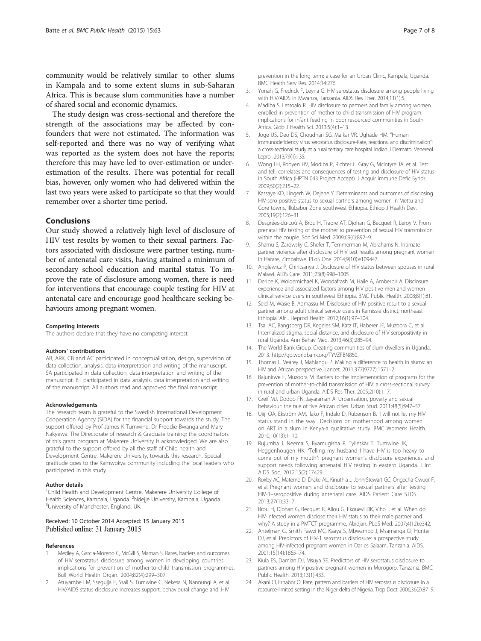<span id="page-6-0"></span>community would be relatively similar to other slums in Kampala and to some extent slums in sub-Saharan Africa. This is because slum communities have a number of shared social and economic dynamics.

The study design was cross-sectional and therefore the strength of the associations may be affected by confounders that were not estimated. The information was self-reported and there was no way of verifying what was reported as the system does not have the reports; therefore this may have led to over-estimation or underestimation of the results. There was potential for recall bias, however, only women who had delivered within the last two years were asked to participate so that they would remember over a shorter time period.

#### **Conclusions**

Our study showed a relatively high level of disclosure of HIV test results by women to their sexual partners. Factors associated with disclosure were partner testing, number of antenatal care visits, having attained a minimum of secondary school education and marital status. To improve the rate of disclosure among women, there is need for interventions that encourage couple testing for HIV at antenatal care and encourage good healthcare seeking behaviours among pregnant women.

#### Competing interests

The authors declare that they have no competing interest.

#### Authors' contributions

AB, ARK, CB and AC participated in conceptualisation, design, supervision of data collection, analysis, data interpretation and writing of the manuscript. SA participated in data collection, data interpretation and writing of the manuscript. BT participated in data analysis, data interpretation and writing of the manuscript. All authors read and approved the final manuscript.

#### Acknowledgements

The research team is grateful to the Swedish International Development Cooperation Agency (SIDA) for the financial support towards the study. The support offered by Prof James K Tumwine, Dr Freddie Bwanga and Mary Nakyewa. The Directorate of research & Graduate training; the coordinators of this grant program at Makerere University is acknowledged. We are also grateful to the support offered by all the staff of Child health and Development Centre, Makerere University, towards this research. Special gratitude goes to the Kamwokya community including the local leaders who participated in this study.

#### Author details

<sup>1</sup>Child Health and Development Centre, Makerere University College of Health Sciences, Kampala, Uganda. <sup>2</sup>Ndejje University, Kampala, Uganda.<br><sup>3</sup>University of Manchester, England UK. <sup>3</sup>University of Manchester, England, UK.

#### Received: 10 October 2014 Accepted: 15 January 2015 Published online: 31 January 2015

#### References

- Medley A, Garcia-Moreno C, McGill S, Maman S. Rates, barriers and outcomes of HIV serostatus disclosure among women in developing countries: implications for prevention of mother-to-child transmission programmes. Bull World Health Organ. 2004;82(4):299–307.
- 2. Atuyambe LM, Ssegujja E, Ssali S, Tumwine C, Nekesa N, Nannungi A, et al. HIV/AIDS status disclosure increases support, behavioural change and, HIV

prevention in the long term: a case for an Urban Clinic, Kampala, Uganda. BMC Health Serv Res. 2014;14:276.

- 3. Yonah G, Fredrick F, Leyna G. HIV serostatus disclosure among people living with HIV/AIDS in Mwanza, Tanzania. AIDS Res Ther. 2014;11(1):5.
- 4. Madiba S, Letsoalo R. HIV disclosure to partners and family among women enrolled in prevention of mother to child transmission of HIV program: implications for infant feeding in poor resourced communities in South Africa. Glob J Health Sci. 2013;5(4):1–13.
- 5. Joge US, Deo DS, Choudhari SG, Malkar VR, Ughade HM. "Human immunodeficiency virus serostatus disclosure-Rate, reactions, and discrimination": a cross-sectional study at a rural tertiary care hospital. Indian J Dermatol Venereol Leprol. 2013;79(1):135.
- 6. Wong LH, Rooyen HV, Modiba P, Richter L, Gray G, McIntyre JA, et al. Test and tell: correlates and consequences of testing and disclosure of HIV status in South Africa (HPTN 043 Project Accept). J Acquir Immune Defic Syndr. 2009;50(2):215–22.
- 7. Kassaye KD, Lingerh W, Dejene Y. Determinants and outcomes of disclosing HIV-sero positive status to sexual partners among women in Mettu and Gore towns, Illubabor Zone southwest Ethiopia. Ethiop J Health Dev. 2005;19(2):126–31.
- 8. Desgrées-du-Loû A, Brou H, Traore AT, Djohan G, Becquet R, Leroy V. From prenatal HIV testing of the mother to prevention of sexual HIV transmission within the couple. Soc Sci Med. 2009;69(6):892–9.
- 9. Shamu S, Zarowsky C, Shefer T, Temmerman M, Abrahams N. Intimate partner violence after disclosure of HIV test results among pregnant women in Harare, Zimbabwe. PLoS One. 2014;9(10):e109447.
- 10. Anglewicz P, Chintsanya J. Disclosure of HIV status between spouses in rural Malawi. AIDS Care. 2011;23(8):998–1005.
- 11. Deribe K, Woldemichael K, Wondafrash M, Haile A, Amberbir A. Disclosure experience and associated factors among HIV positive men and women clinical service users in southwest Ethiopia. BMC Public Health. 2008;8(1):81.
- 12. Seid M, Wasie B, Admassu M. Disclosure of HIV positive result to a sexual partner among adult clinical service users in Kemissie district, northeast Ethiopia. Afr J Reprod Health. 2012;16(1):97–104.
- 13. Tsai AC, Bangsberg DR, Kegeles SM, Katz IT, Haberer JE, Muzoora C, et al. Internalized stigma, social distance, and disclosure of HIV seropositivity in rural Uganda. Ann Behav Med. 2013;46(3):285–94.
- 14. The World Bank Group. Creating communities of slum dwellers in Uganda. 2013. [http://go.worldbank.org/TYVZFBN850.](http://go.worldbank.org/TYVZFBN850)
- 15. Thomas L, Vearey J, Mahlangu P. Making a difference to health in slums: an HIV and African perspective. Lancet. 2011;377(9777):1571–2.
- 16. Bajunirwe F, Muzoora M. Barriers to the implementation of programs for the prevention of mother-to-child transmission of HIV: a cross-sectional survey in rural and urban Uganda. AIDS Res Ther. 2005;2(10):1–7.
- 17. Greif MJ, Dodoo FN, Jayaraman A. Urbanisation, poverty and sexual behaviour: the tale of five African cities. Urban Stud. 2011;48(5):947–57.
- 18. Ujiji OA, Ekström AM, Ilako F, Indalo D, Rubenson B. 'I will not let my HIV status stand in the way'. Decisions on motherhood among women on ART in a slum in Kenya-a qualitative study. BMC Womens Health. 2010;10(13):1–10.
- 19. Rujumba J, Neema S, Byamugisha R, Tylleskär T, Tumwine JK, Heggenhougen HK. "Telling my husband I have HIV is too heavy to come out of my mouth": pregnant women's disclosure experiences and support needs following antenatal HIV testing in eastern Uganda. J Int AIDS Soc. 2012;15(2):17429.
- 20. Roxby AC, Matemo D, Drake AL, Kinuthia J, John-Stewart GC, Ongecha-Owuor F, et al. Pregnant women and disclosure to sexual partners after testing HIV-1–seropositive during antenatal care. AIDS Patient Care STDS. 2013;27(1):33–7.
- 21. Brou H, Djohan G, Becquet R, Allou G, Ekouevi DK, Viho I, et al. When do HIV-infected women disclose their HIV status to their male partner and why? A study in a PMTCT programme, Abidjan. PLoS Med. 2007;4(12):e342.
- 22. Antelman G, Smith Fawzi MC, Kaaya S, Mbwambo J, Msamanga GI, Hunter DJ, et al. Predictors of HIV-1 serostatus disclosure: a prospective study among HIV-infected pregnant women in Dar es Salaam, Tanzania. AIDS. 2001;15(14):1865–74.
- 23. Kiula ES, Damian DJ, Msuya SE. Predictors of HIV serostatus disclosure to partners among HIV-positive pregnant women in Morogoro, Tanzania. BMC Public Health. 2013;13(1):433.
- 24. Akani CI, Erhabor O. Rate, pattern and barriers of HIV serostatus disclosure in a resource-limited setting in the Niger delta of Nigeria. Trop Doct. 2006;36(2):87–9.